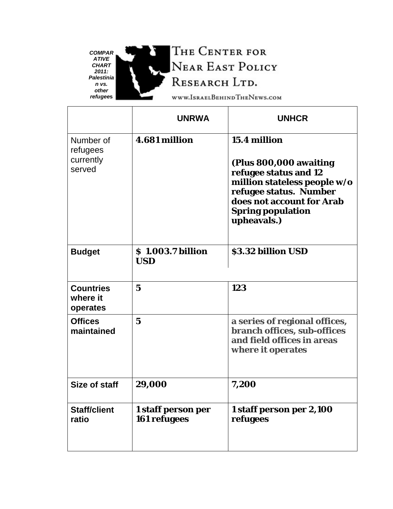

à

THE CENTER FOR NEAR EAST POLICY RESEARCH LTD.

WWW.ISRAELBEHINDTHENEWS.COM

|                                              | <b>UNRWA</b>                       | <b>UNHCR</b>                                                                                                                                                                               |
|----------------------------------------------|------------------------------------|--------------------------------------------------------------------------------------------------------------------------------------------------------------------------------------------|
| Number of<br>refugees<br>currently<br>served | 4.681 million                      | 15.4 million<br>(Plus 800,000 awaiting<br>refugee status and 12<br>million stateless people w/o<br>refugee status. Number<br>does not account for Arab<br>Spring population<br>upheavals.) |
| <b>Budget</b>                                | \$1.003.7 billion<br><b>USD</b>    | \$3.32 billion USD                                                                                                                                                                         |
| <b>Countries</b><br>where it<br>operates     | $\overline{5}$                     | 123                                                                                                                                                                                        |
| <b>Offices</b><br>maintained                 | $\overline{5}$                     | a series of regional offices,<br>branch offices, sub-offices<br>and field offices in areas<br>where it operates                                                                            |
| Size of staff                                | 29,000                             | 7,200                                                                                                                                                                                      |
| <b>Staff/client</b><br>ratio                 | 1 staff person per<br>161 refugees | 1 staff person per 2,100<br>refugees                                                                                                                                                       |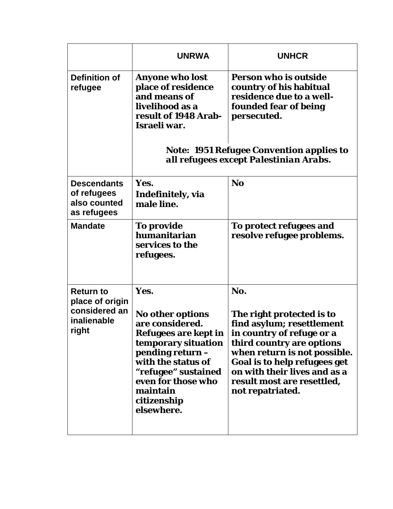|                                                                              | <b>UNRWA</b>                                                                                                                                                                                                               | <b>UNHCR</b>                                                                                                                                                                                                                                                              |
|------------------------------------------------------------------------------|----------------------------------------------------------------------------------------------------------------------------------------------------------------------------------------------------------------------------|---------------------------------------------------------------------------------------------------------------------------------------------------------------------------------------------------------------------------------------------------------------------------|
| <b>Definition of</b><br>refugee                                              | Anyone who lost<br>place of residence<br>and means of<br>livelihood as a<br>result of 1948 Arab-<br>Israeli war.                                                                                                           | Person who is outside<br>country of his habitual<br>residence due to a well-<br>founded fear of being<br>persecuted.<br>Note: 1951 Refugee Convention applies to<br>all refugees except Palestinian Arabs.                                                                |
| <b>Descendants</b><br>of refugees<br>also counted<br>as refugees             | Yes.<br>Indefinitely, via<br>male line.                                                                                                                                                                                    | N <sub>o</sub>                                                                                                                                                                                                                                                            |
| <b>Mandate</b>                                                               | To provide<br>humanitarian<br>services to the<br>refugees.                                                                                                                                                                 | To protect refugees and<br>resolve refugee problems.                                                                                                                                                                                                                      |
| <b>Return to</b><br>place of origin<br>considered an<br>inalienable<br>right | Yes.<br>No other options<br>are considered.<br>Refugees are kept in<br>temporary situation<br>pending return -<br>with the status of<br>"refugee" sustained<br>even for those who<br>maintain<br>citizenship<br>elsewhere. | No.<br>The right protected is to<br>find asylum; resettlement<br>in country of refuge or a<br>third country are options<br>when return is not possible.<br>Goal is to help refugees get<br>on with their lives and as a<br>result most are resettled,<br>not repatriated. |